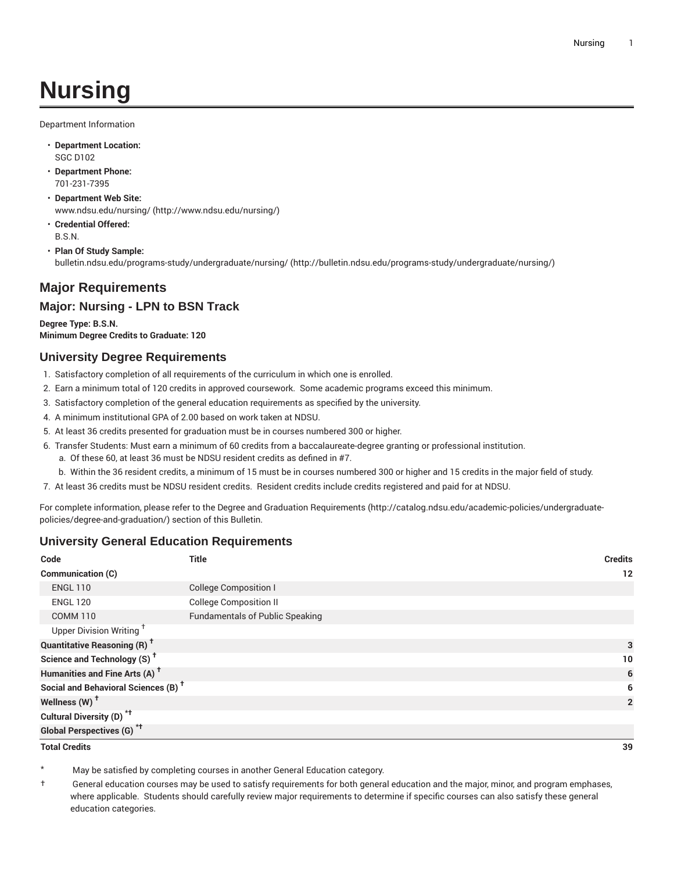# **Nursing**

Department Information

- **Department Location:** SGC D102
- **Department Phone:** 701-231-7395
- **Department Web Site:** [www.ndsu.edu/nursing/ \(http://www.ndsu.edu/nursing/](http://www.ndsu.edu/nursing/))
- **Credential Offered:** B.S.N.
- **Plan Of Study Sample:** [bulletin.ndsu.edu/programs-study/undergraduate/nursing/](http://bulletin.ndsu.edu/programs-study/undergraduate/nursing/) ([http://bulletin.ndsu.edu/programs-study/undergraduate/nursing/\)](http://bulletin.ndsu.edu/programs-study/undergraduate/nursing/)

# **Major Requirements**

#### **Major: Nursing - LPN to BSN Track**

**Degree Type: B.S.N. Minimum Degree Credits to Graduate: 120**

#### **University Degree Requirements**

- 1. Satisfactory completion of all requirements of the curriculum in which one is enrolled.
- 2. Earn a minimum total of 120 credits in approved coursework. Some academic programs exceed this minimum.
- 3. Satisfactory completion of the general education requirements as specified by the university.
- 4. A minimum institutional GPA of 2.00 based on work taken at NDSU.
- 5. At least 36 credits presented for graduation must be in courses numbered 300 or higher.
- 6. Transfer Students: Must earn a minimum of 60 credits from a baccalaureate-degree granting or professional institution.
	- a. Of these 60, at least 36 must be NDSU resident credits as defined in #7.
	- b. Within the 36 resident credits, a minimum of 15 must be in courses numbered 300 or higher and 15 credits in the major field of study.

7. At least 36 credits must be NDSU resident credits. Resident credits include credits registered and paid for at NDSU.

For complete information, please refer to the Degree and Graduation [Requirements](http://catalog.ndsu.edu/academic-policies/undergraduate-policies/degree-and-graduation/) ([http://catalog.ndsu.edu/academic-policies/undergraduate](http://catalog.ndsu.edu/academic-policies/undergraduate-policies/degree-and-graduation/)[policies/degree-and-graduation/\)](http://catalog.ndsu.edu/academic-policies/undergraduate-policies/degree-and-graduation/) section of this Bulletin.

### **University General Education Requirements**

| Code                                            | <b>Title</b>                           | <b>Credits</b> |
|-------------------------------------------------|----------------------------------------|----------------|
| Communication (C)                               |                                        | $12 \,$        |
| <b>ENGL 110</b>                                 | <b>College Composition I</b>           |                |
| <b>ENGL 120</b>                                 | <b>College Composition II</b>          |                |
| <b>COMM 110</b>                                 | <b>Fundamentals of Public Speaking</b> |                |
| Upper Division Writing <sup>+</sup>             |                                        |                |
| <b>Quantitative Reasoning (R)</b> <sup>†</sup>  |                                        | 3              |
| Science and Technology (S) <sup>t</sup>         |                                        | 10             |
| Humanities and Fine Arts (A) <sup>+</sup>       |                                        | 6              |
| Social and Behavioral Sciences (B) <sup>+</sup> |                                        | 6              |
| Wellness (W) <sup>t</sup>                       |                                        | $\mathbf{2}$   |
| Cultural Diversity (D) <sup>*†</sup>            |                                        |                |
| <b>Global Perspectives (G)<sup>*†</sup></b>     |                                        |                |

**Total Credits 39**

May be satisfied by completing courses in another General Education category.

† General education courses may be used to satisfy requirements for both general education and the major, minor, and program emphases, where applicable. Students should carefully review major requirements to determine if specific courses can also satisfy these general education categories.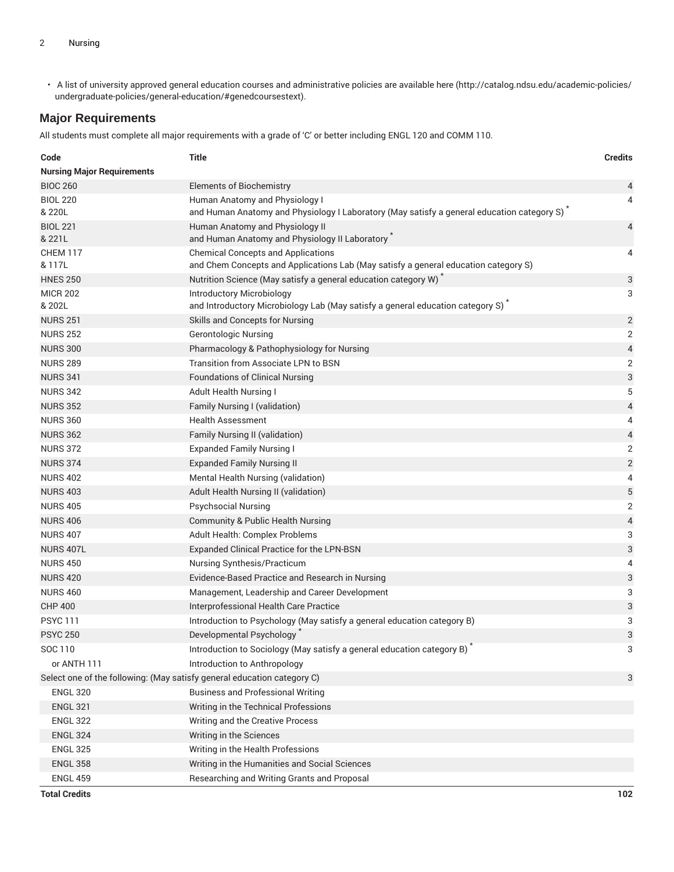• A list of university approved general education courses and administrative policies are available [here](http://catalog.ndsu.edu/academic-policies/undergraduate-policies/general-education/#genedcoursestext) ([http://catalog.ndsu.edu/academic-policies/](http://catalog.ndsu.edu/academic-policies/undergraduate-policies/general-education/#genedcoursestext) [undergraduate-policies/general-education/#genedcoursestext](http://catalog.ndsu.edu/academic-policies/undergraduate-policies/general-education/#genedcoursestext)).

## **Major Requirements**

All students must complete all major requirements with a grade of 'C' or better including ENGL 120 and COMM 110.

| Code                                                                    | <b>Title</b>                                                                                                                     | <b>Credits</b>           |  |
|-------------------------------------------------------------------------|----------------------------------------------------------------------------------------------------------------------------------|--------------------------|--|
| <b>Nursing Major Requirements</b>                                       |                                                                                                                                  |                          |  |
| <b>BIOC 260</b>                                                         | <b>Elements of Biochemistry</b>                                                                                                  | 4                        |  |
| <b>BIOL 220</b><br>& 220L                                               | Human Anatomy and Physiology I<br>and Human Anatomy and Physiology I Laboratory (May satisfy a general education category S)     | 4                        |  |
| <b>BIOL 221</b><br>& 221L                                               | Human Anatomy and Physiology II<br>and Human Anatomy and Physiology II Laboratory                                                | 4                        |  |
| <b>CHEM 117</b><br>& 117L                                               | <b>Chemical Concepts and Applications</b><br>and Chem Concepts and Applications Lab (May satisfy a general education category S) | 4                        |  |
| <b>HNES 250</b>                                                         | Nutrition Science (May satisfy a general education category W)                                                                   | 3                        |  |
| <b>MICR 202</b><br>& 202L                                               | Introductory Microbiology<br>and Introductory Microbiology Lab (May satisfy a general education category S)                      | 3                        |  |
| <b>NURS 251</b>                                                         | Skills and Concepts for Nursing                                                                                                  | $\mathbf{2}$             |  |
| <b>NURS 252</b>                                                         | <b>Gerontologic Nursing</b>                                                                                                      | 2                        |  |
| <b>NURS 300</b>                                                         | Pharmacology & Pathophysiology for Nursing                                                                                       | 4                        |  |
| <b>NURS 289</b>                                                         | Transition from Associate LPN to BSN                                                                                             | 2                        |  |
| <b>NURS 341</b>                                                         | <b>Foundations of Clinical Nursing</b>                                                                                           | 3                        |  |
| <b>NURS 342</b>                                                         | Adult Health Nursing I                                                                                                           | 5                        |  |
| <b>NURS 352</b>                                                         | Family Nursing I (validation)                                                                                                    | $\overline{\mathcal{A}}$ |  |
| <b>NURS 360</b>                                                         | <b>Health Assessment</b>                                                                                                         | 4                        |  |
| <b>NURS 362</b>                                                         | Family Nursing II (validation)                                                                                                   | 4                        |  |
| <b>NURS 372</b>                                                         | <b>Expanded Family Nursing I</b>                                                                                                 | 2                        |  |
| <b>NURS 374</b>                                                         | <b>Expanded Family Nursing II</b>                                                                                                | $\sqrt{2}$               |  |
| <b>NURS 402</b>                                                         | Mental Health Nursing (validation)                                                                                               | 4                        |  |
| <b>NURS 403</b>                                                         | Adult Health Nursing II (validation)                                                                                             | $\sqrt{5}$               |  |
| <b>NURS 405</b>                                                         | <b>Psychsocial Nursing</b>                                                                                                       | 2                        |  |
| <b>NURS 406</b>                                                         | <b>Community &amp; Public Health Nursing</b>                                                                                     | 4                        |  |
| <b>NURS 407</b>                                                         | Adult Health: Complex Problems                                                                                                   | 3                        |  |
| NURS 407L                                                               | Expanded Clinical Practice for the LPN-BSN                                                                                       | 3                        |  |
| <b>NURS 450</b>                                                         | Nursing Synthesis/Practicum                                                                                                      | 4                        |  |
| <b>NURS 420</b>                                                         | Evidence-Based Practice and Research in Nursing                                                                                  | 3                        |  |
| <b>NURS 460</b>                                                         | Management, Leadership and Career Development                                                                                    | 3                        |  |
| <b>CHP 400</b>                                                          | Interprofessional Health Care Practice                                                                                           | 3                        |  |
| <b>PSYC 111</b>                                                         | Introduction to Psychology (May satisfy a general education category B)                                                          | 3                        |  |
| <b>PSYC 250</b>                                                         | Developmental Psychology                                                                                                         | 3                        |  |
| SOC 110                                                                 | Introduction to Sociology (May satisfy a general education category B)                                                           | 3                        |  |
| or ANTH 111                                                             | Introduction to Anthropology                                                                                                     |                          |  |
| Select one of the following: (May satisfy general education category C) |                                                                                                                                  | 3                        |  |
| <b>ENGL 320</b>                                                         | <b>Business and Professional Writing</b>                                                                                         |                          |  |
| <b>ENGL 321</b>                                                         | Writing in the Technical Professions                                                                                             |                          |  |
| <b>ENGL 322</b>                                                         | Writing and the Creative Process                                                                                                 |                          |  |
| <b>ENGL 324</b>                                                         | Writing in the Sciences                                                                                                          |                          |  |
| <b>ENGL 325</b>                                                         | Writing in the Health Professions                                                                                                |                          |  |
| <b>ENGL 358</b>                                                         | Writing in the Humanities and Social Sciences                                                                                    |                          |  |
| <b>ENGL 459</b>                                                         | Researching and Writing Grants and Proposal                                                                                      |                          |  |